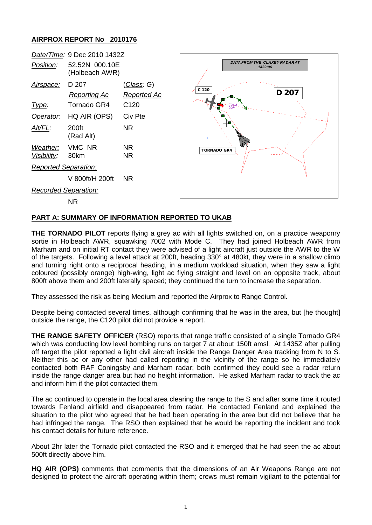## **AIRPROX REPORT No 2010176**



## **PART A: SUMMARY OF INFORMATION REPORTED TO UKAB**

**THE TORNADO PILOT** reports flying a grey ac with all lights switched on, on a practice weaponry sortie in Holbeach AWR, squawking 7002 with Mode C. They had joined Holbeach AWR from Marham and on initial RT contact they were advised of a light aircraft just outside the AWR to the W of the targets. Following a level attack at 200ft, heading 330° at 480kt, they were in a shallow climb and turning right onto a reciprocal heading, in a medium workload situation, when they saw a light coloured (possibly orange) high-wing, light ac flying straight and level on an opposite track, about 800ft above them and 200ft laterally spaced; they continued the turn to increase the separation.

They assessed the risk as being Medium and reported the Airprox to Range Control.

Despite being contacted several times, although confirming that he was in the area, but [he thought] outside the range, the C120 pilot did not provide a report.

**THE RANGE SAFETY OFFICER** (RSO) reports that range traffic consisted of a single Tornado GR4 which was conducting low level bombing runs on target 7 at about 150ft amsl. At 1435Z after pulling off target the pilot reported a light civil aircraft inside the Range Danger Area tracking from N to S. Neither this ac or any other had called reporting in the vicinity of the range so he immediately contacted both RAF Coningsby and Marham radar; both confirmed they could see a radar return inside the range danger area but had no height information. He asked Marham radar to track the ac and inform him if the pilot contacted them.

The ac continued to operate in the local area clearing the range to the S and after some time it routed towards Fenland airfield and disappeared from radar. He contacted Fenland and explained the situation to the pilot who agreed that he had been operating in the area but did not believe that he had infringed the range. The RSO then explained that he would be reporting the incident and took his contact details for future reference.

About 2hr later the Tornado pilot contacted the RSO and it emerged that he had seen the ac about 500ft directly above him.

**HQ AIR (OPS)** comments that comments that the dimensions of an Air Weapons Range are not designed to protect the aircraft operating within them; crews must remain vigilant to the potential for